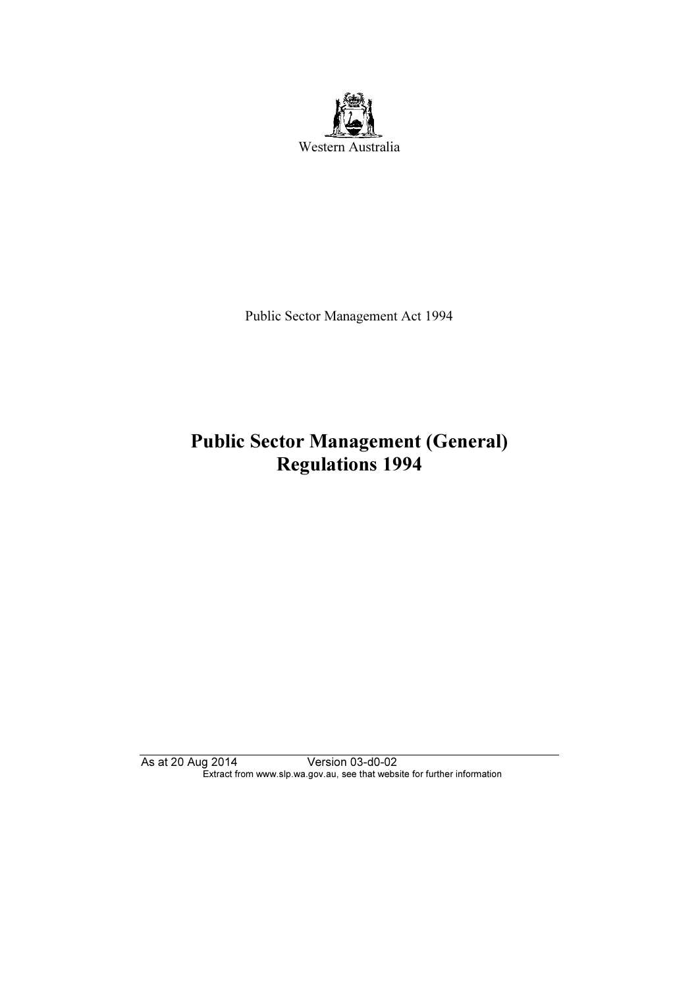

Public Sector Management Act 1994

# Regulations 1994 Regulations 1994

As at 20 Aug 2014 Version 03-d0-02 Extract from www.slp.wa.gov.au, see that website for further information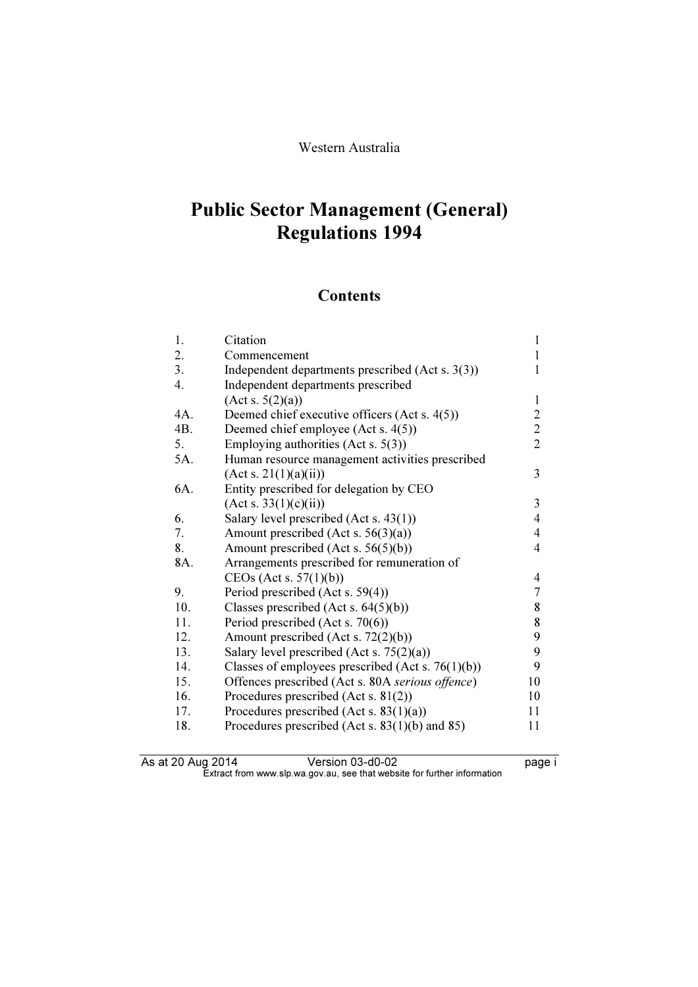# **Requisitions 1994** regulations in the

## **Contents**

| 1.  | Citation                                             | 1              |
|-----|------------------------------------------------------|----------------|
| 2.  | Commencement                                         | 1              |
| 3.  | Independent departments prescribed (Act s. 3(3))     | 1              |
| 4.  | Independent departments prescribed                   |                |
|     | (Act s. 5(2)(a))                                     | $\mathbf{1}$   |
| 4A. | Deemed chief executive officers (Act s. 4(5))        | $\sqrt{2}$     |
| 4B. | Deemed chief employee (Act s. 4(5))                  | $\overline{c}$ |
| 5.  | Employing authorities (Act s. $5(3)$ )               | $\overline{2}$ |
| 5A. | Human resource management activities prescribed      |                |
|     | (Act s. 21(1)(a)(ii))                                | 3              |
| 6A. | Entity prescribed for delegation by CEO              |                |
|     | (Act s. 33(1)(c)(ii))                                | 3              |
| 6.  | Salary level prescribed (Act s. 43(1))               | $\overline{4}$ |
| 7.  | Amount prescribed (Act s. $56(3)(a)$ )               | $\overline{4}$ |
| 8.  | Amount prescribed (Act s. $56(5)(b)$ )               | $\overline{4}$ |
| 8A. | Arrangements prescribed for remuneration of          |                |
|     | CEOs (Act s. $57(1)(b)$ )                            | 4              |
| 9.  | Period prescribed (Act s. 59(4))                     | $\overline{7}$ |
| 10. | Classes prescribed (Act s. $64(5)(b)$ )              | 8              |
| 11. | Period prescribed (Act s. 70(6))                     | 8              |
| 12. | Amount prescribed (Act s. 72(2)(b))                  | 9              |
| 13. | Salary level prescribed (Act s. $75(2)(a)$ )         | 9              |
| 14. | Classes of employees prescribed (Act s. $76(1)(b)$ ) | 9              |
| 15. | Offences prescribed (Act s. 80A serious offence)     | 10             |
| 16. | Procedures prescribed (Act s. 81(2))                 | 10             |
| 17. | Procedures prescribed (Act s. $83(1)(a)$ )           | 11             |
| 18. | Procedures prescribed (Act s. $83(1)(b)$ and $85)$ ) | 11             |

| As at 20 Aug 2014 | Version 03-d0-02                                                         | page i |
|-------------------|--------------------------------------------------------------------------|--------|
|                   | Extract from www.slp.wa.gov.au, see that website for further information |        |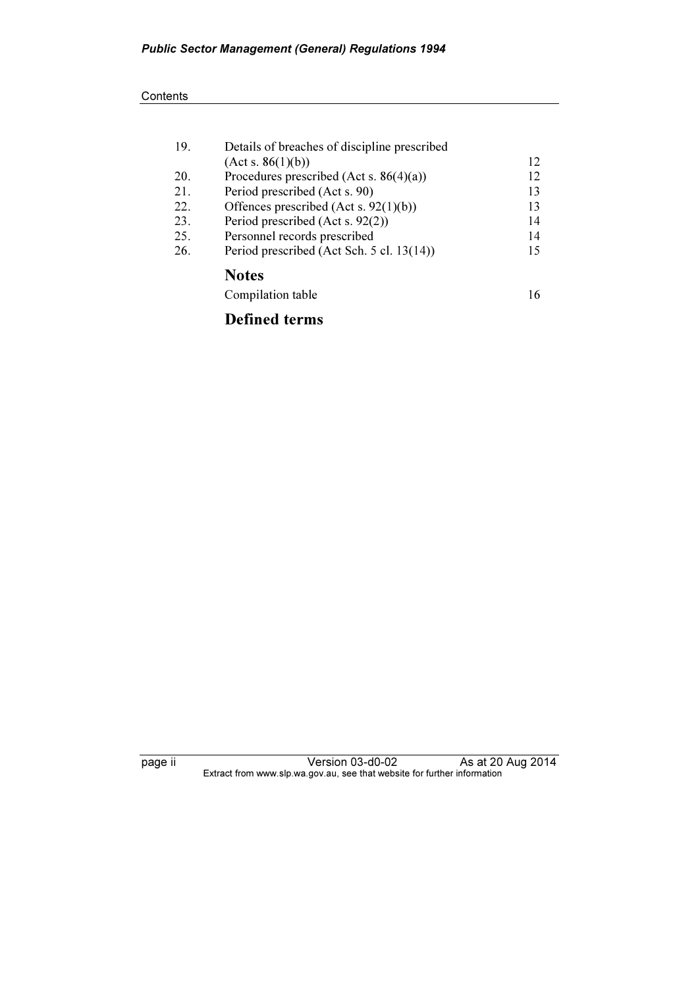#### **Contents**

| 19. | Details of breaches of discipline prescribed |    |
|-----|----------------------------------------------|----|
|     | (Act s. 86(1)(b))                            | 12 |
| 20. | Procedures prescribed (Act s. $86(4)(a)$ )   | 12 |
| 21. | Period prescribed (Act s. 90)                | 13 |
| 22. | Offences prescribed (Act s. $92(1)(b)$ )     | 13 |
| 23. | Period prescribed (Act s. 92(2))             | 14 |
| 25. | Personnel records prescribed                 | 14 |
| 26. | Period prescribed (Act Sch. 5 cl. 13(14))    | 15 |
|     | <b>Notes</b>                                 |    |
|     | Compilation table                            | 16 |
|     |                                              |    |

### Defined terms

page ii Version 03-d0-02 As at 20 Aug 2014  $\mathbf{F}$  from which was the set that we besite for further information  $\mathbf{F}$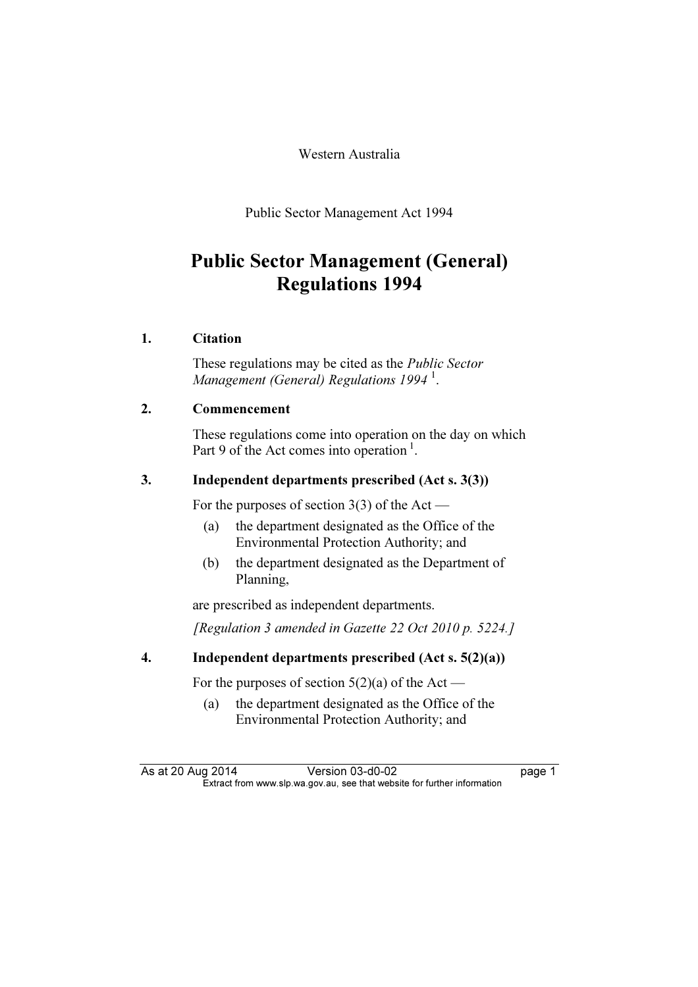Western Australia

Public Sector Management Act 1994

# Public Sector Management (General) regulations in the

#### 1. Citation

 These regulations may be cited as the Public Sector Management (General) Regulations 1994 $^1$ .

#### 2. Commencement

 These regulations come into operation on the day on which Part 9 of the Act comes into operation<sup>1</sup>.

#### 3. Independent departments prescribed (Act s. 3(3))

For the purposes of section 3(3) of the Act —

- (a) the department designated as the Office of the Environmental Protection Authority; and
- (b) the department designated as the Department of Planning,

are prescribed as independent departments.

[Regulation 3 amended in Gazette 22 Oct 2010 p. 5224.]

#### 4. Independent departments prescribed (Act s. 5(2)(a))

For the purposes of section  $5(2)(a)$  of the Act —

 (a) the department designated as the Office of the Environmental Protection Authority; and

As at 20 Aug 2014 Version 03-d0-02 page 1<br>Extract from www.slp.wa.gov.au, see that website for further information  $\mathbf{F}$  from which was the set that we besite for further information  $\mathbf{F}$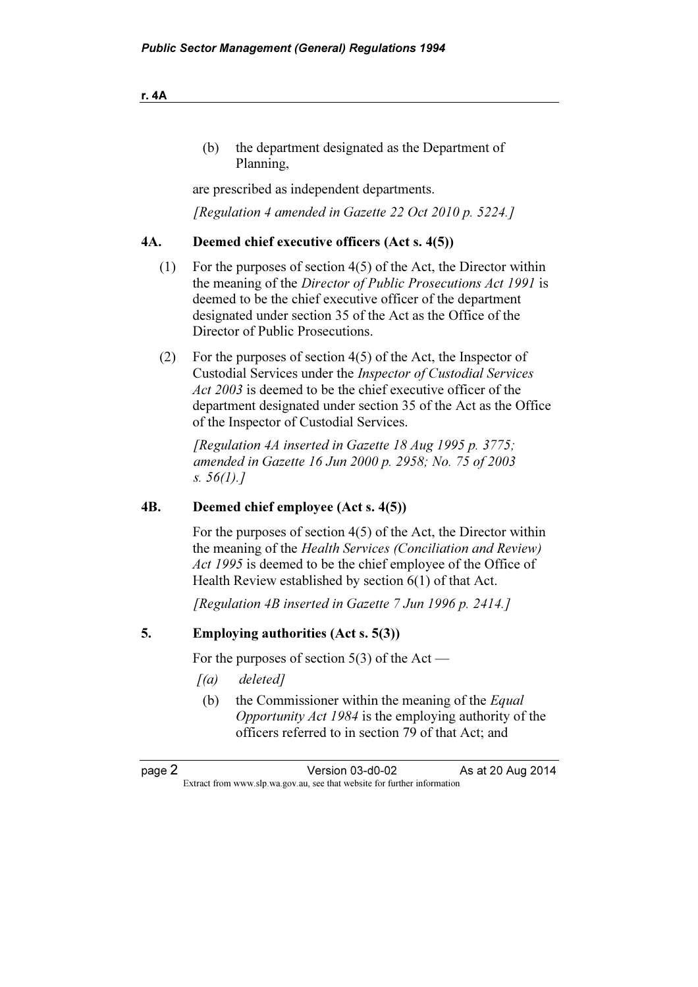| the department designated as the Department of |
|------------------------------------------------|
| Planning.                                      |

are prescribed as independent departments.

[Regulation 4 amended in Gazette 22 Oct 2010 p. 5224.]

#### 4A. Deemed chief executive officers (Act s. 4(5))

- (1) For the purposes of section 4(5) of the Act, the Director within the meaning of the Director of Public Prosecutions Act 1991 is deemed to be the chief executive officer of the department designated under section 35 of the Act as the Office of the Director of Public Prosecutions.
- (2) For the purposes of section 4(5) of the Act, the Inspector of Custodial Services under the Inspector of Custodial Services Act 2003 is deemed to be the chief executive officer of the department designated under section 35 of the Act as the Office of the Inspector of Custodial Services.

[Regulation 4A inserted in Gazette  $18$  Aug 1995 p. 3775; amended in Gazette 16 Jun 2000 p. 2958; No. 75 of 2003 s.  $56(1).7$ 

#### 4B. Deemed chief employee (Act s. 4(5))

 For the purposes of section 4(5) of the Act, the Director within the meaning of the Health Services (Conciliation and Review) Act 1995 is deemed to be the chief employee of the Office of Health Review established by section 6(1) of that Act.

[Regulation 4B inserted in Gazette 7 Jun 1996 p. 2414.]

#### 5. Employing authorities (Act s. 5(3))

For the purposes of section  $5(3)$  of the Act —

- $[(a)$  deleted]
	- (b) the Commissioner within the meaning of the  $Equal$ Opportunity Act 1984 is the employing authority of the officers referred to in section 79 of that Act; and

page 2 Version 03-d0-02 As at 20 Aug 2014<br>Extract from www.slp.wa.gov.au, see that website for further information  $\mathbf{F}$  from which we be the website for further information for further information  $\mathbf{F}$ 

r. 4A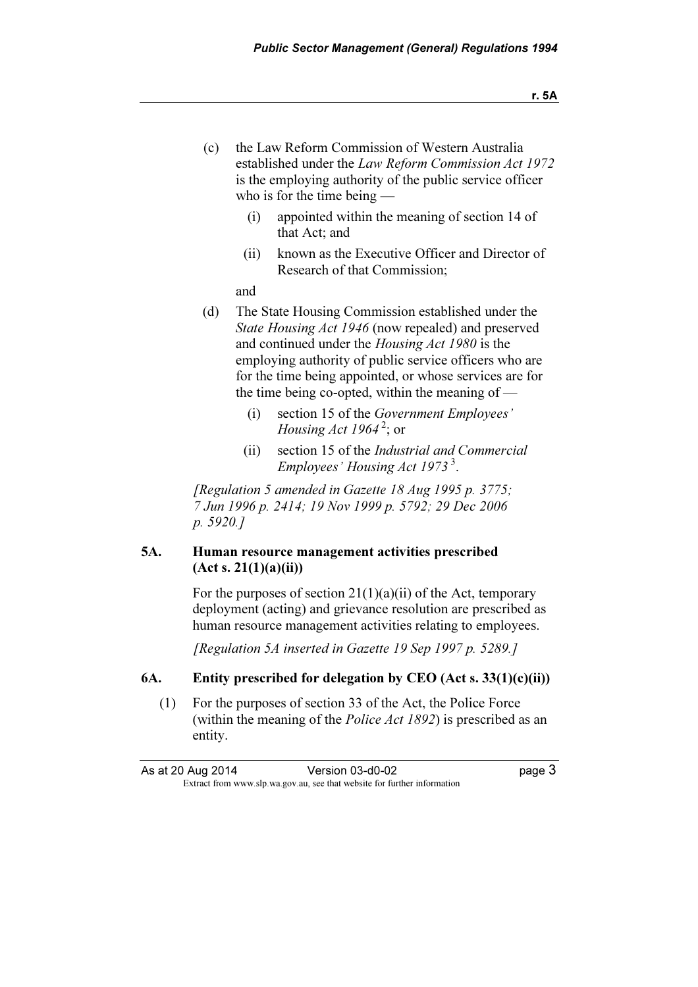- (c) the Law Reform Commission of Western Australia established under the Law Reform Commission Act 1972 is the employing authority of the public service officer who is for the time being —
	- (i) appointed within the meaning of section 14 of that Act; and
	- (ii) known as the Executive Officer and Director of Research of that Commission;

and

- (d) The State Housing Commission established under the State Housing Act 1946 (now repealed) and preserved and continued under the Housing Act 1980 is the employing authority of public service officers who are for the time being appointed, or whose services are for the time being co-opted, within the meaning of —
	- (i) section 15 of the Government Employees' *Housing Act 1964*<sup>2</sup>; or
	- (ii) section 15 of the Industrial and Commercial Employees' Housing Act  $1973^3$ .

[Regulation 5 amended in Gazette 18 Aug 1995 p. 3775; 7 Jun 1996 p. 2414; 19 Nov 1999 p. 5792; 29 Dec 2006 p. 5920.]

#### 5A. Human resource management activities prescribed  $(Act s. 21(1)(a)(ii))$

For the purposes of section  $21(1)(a)(ii)$  of the Act, temporary deployment (acting) and grievance resolution are prescribed as human resource management activities relating to employees.

[Regulation 5A inserted in Gazette 19 Sep 1997 p. 5289.]

#### 6A. Entity prescribed for delegation by CEO (Act s.  $33(1)(c)(ii)$ )

 (1) For the purposes of section 33 of the Act, the Police Force (within the meaning of the *Police Act 1892*) is prescribed as an entity.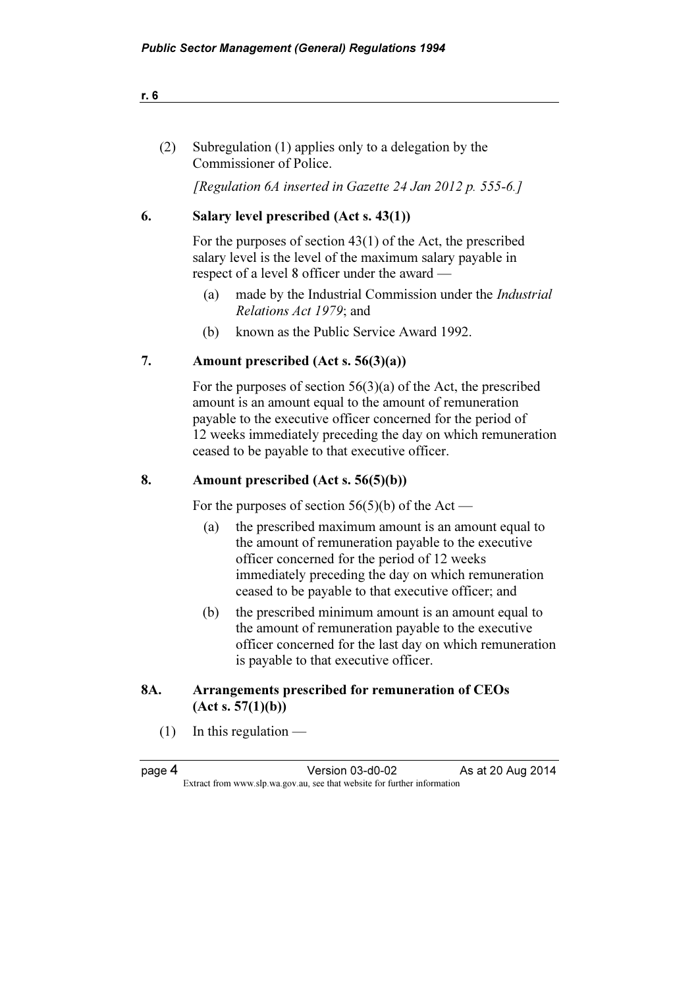| Subregulation (1) applies only to a delegation by the |
|-------------------------------------------------------|
| Commissioner of Police.                               |

[Regulation 6A inserted in Gazette 24 Jan 2012 p. 555-6.]

#### 6. Salary level prescribed (Act s. 43(1))

 For the purposes of section 43(1) of the Act, the prescribed salary level is the level of the maximum salary payable in respect of a level 8 officer under the award —

- (a) made by the Industrial Commission under the Industrial Relations Act 1979; and
- (b) known as the Public Service Award 1992.

#### 7. Amount prescribed (Act s. 56(3)(a))

 For the purposes of section 56(3)(a) of the Act, the prescribed amount is an amount equal to the amount of remuneration payable to the executive officer concerned for the period of 12 weeks immediately preceding the day on which remuneration ceased to be payable to that executive officer.

#### 8. Amount prescribed (Act s. 56(5)(b))

For the purposes of section  $56(5)(b)$  of the Act —

- (a) the prescribed maximum amount is an amount equal to the amount of remuneration payable to the executive officer concerned for the period of 12 weeks immediately preceding the day on which remuneration ceased to be payable to that executive officer; and
- (b) the prescribed minimum amount is an amount equal to the amount of remuneration payable to the executive officer concerned for the last day on which remuneration is payable to that executive officer.

### 8A. Arrangements prescribed for remuneration of CEOs  $(Act s. 57(1)(b))$

 $(1)$  In this regulation —

page 4 Version 03-d0-02 As at 20 Aug 2014<br>Extract from www.slp.wa.gov.au, see that website for further information  $\mathbf{F}$  from which we be the website for further information for further information  $\mathbf{F}$ 

r. 6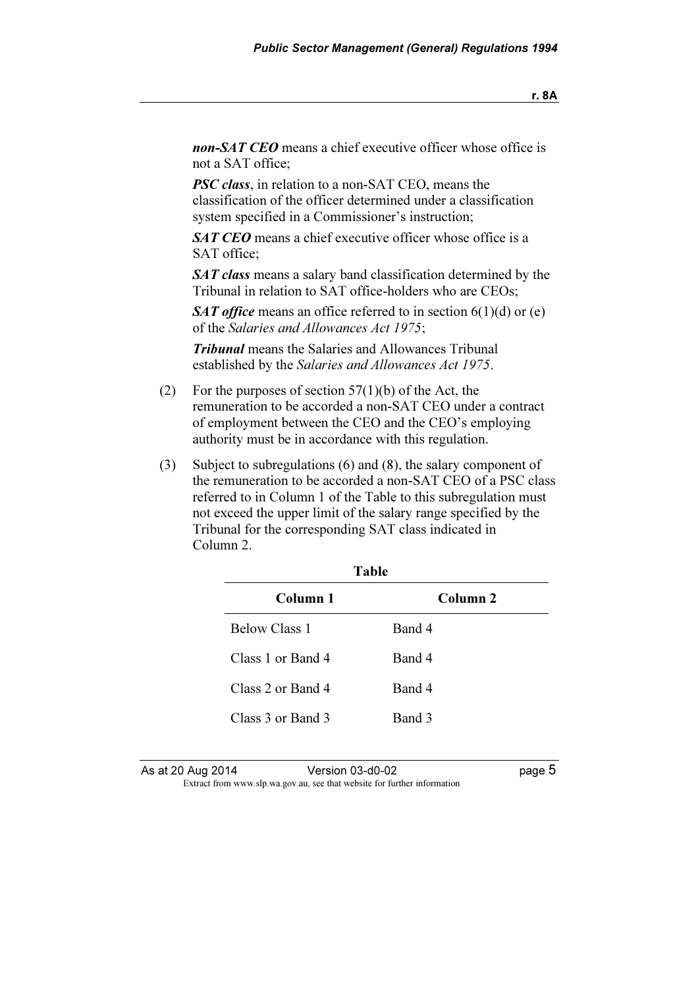non-SAT CEO means a chief executive officer whose office is not a SAT office;

**PSC class**, in relation to a non-SAT CEO, means the classification of the officer determined under a classification system specified in a Commissioner's instruction;

SAT CEO means a chief executive officer whose office is a SAT office;

SAT class means a salary band classification determined by the Tribunal in relation to SAT office-holders who are CEOs;

SAT office means an office referred to in section  $6(1)(d)$  or (e) of the Salaries and Allowances Act 1975;

**Tribunal** means the Salaries and Allowances Tribunal established by the Salaries and Allowances Act 1975.

- (2) For the purposes of section  $57(1)(b)$  of the Act, the remuneration to be accorded a non-SAT CEO under a contract of employment between the CEO and the CEO's employing authority must be in accordance with this regulation.
- (3) Subject to subregulations (6) and (8), the salary component of the remuneration to be accorded a non-SAT CEO of a PSC class referred to in Column 1 of the Table to this subregulation must not exceed the upper limit of the salary range specified by the Tribunal for the corresponding SAT class indicated in Column 2.

| Table                |                     |  |
|----------------------|---------------------|--|
| Column 1             | Column <sub>2</sub> |  |
| <b>Below Class 1</b> | Band 4              |  |
| Class 1 or Band 4    | Band 4              |  |
| Class 2 or Band 4    | Band 4              |  |
| Class 3 or Band 3    | Band 3              |  |

As at 20 Aug 2014 Version 03-d0-02 page 5  $\mathbf{F}$  from which we be the website for further information for further information  $\mathbf{F}$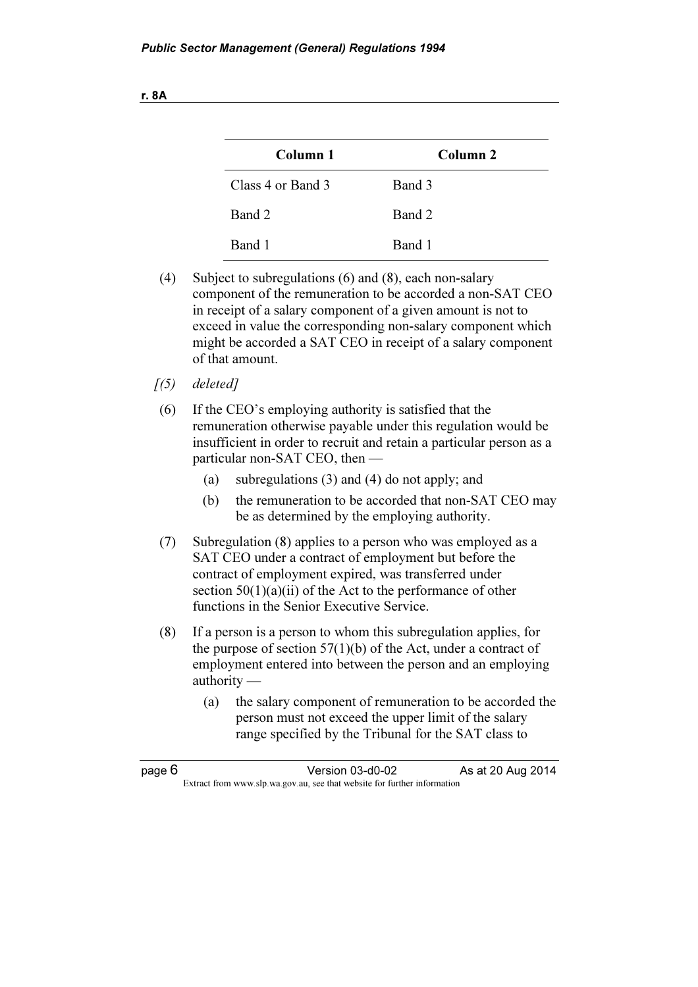| M.<br>v |
|---------|
|         |

| Column 1          | Column <sub>2</sub> |
|-------------------|---------------------|
| Class 4 or Band 3 | Band 3              |
| Band 2            | Band 2              |
| Band 1            | Band 1              |

- (4) Subject to subregulations (6) and (8), each non-salary component of the remuneration to be accorded a non-SAT CEO in receipt of a salary component of a given amount is not to exceed in value the corresponding non-salary component which might be accorded a SAT CEO in receipt of a salary component of that amount.
- $(5)$  deletedl
- (6) If the CEO's employing authority is satisfied that the remuneration otherwise payable under this regulation would be insufficient in order to recruit and retain a particular person as a particular non-SAT CEO, then —
	- (a) subregulations (3) and (4) do not apply; and
	- (b) the remuneration to be accorded that non-SAT CEO may be as determined by the employing authority.
- (7) Subregulation (8) applies to a person who was employed as a SAT CEO under a contract of employment but before the contract of employment expired, was transferred under section  $50(1)(a)(ii)$  of the Act to the performance of other functions in the Senior Executive Service.
- (8) If a person is a person to whom this subregulation applies, for the purpose of section 57(1)(b) of the Act, under a contract of employment entered into between the person and an employing authority —
	- (a) the salary component of remuneration to be accorded the person must not exceed the upper limit of the salary range specified by the Tribunal for the SAT class to

page 6 **Version 03-d0-02** As at 20 Aug 2014  $\mathbf{F}$  from which we be the website for further information for further information  $\mathbf{F}$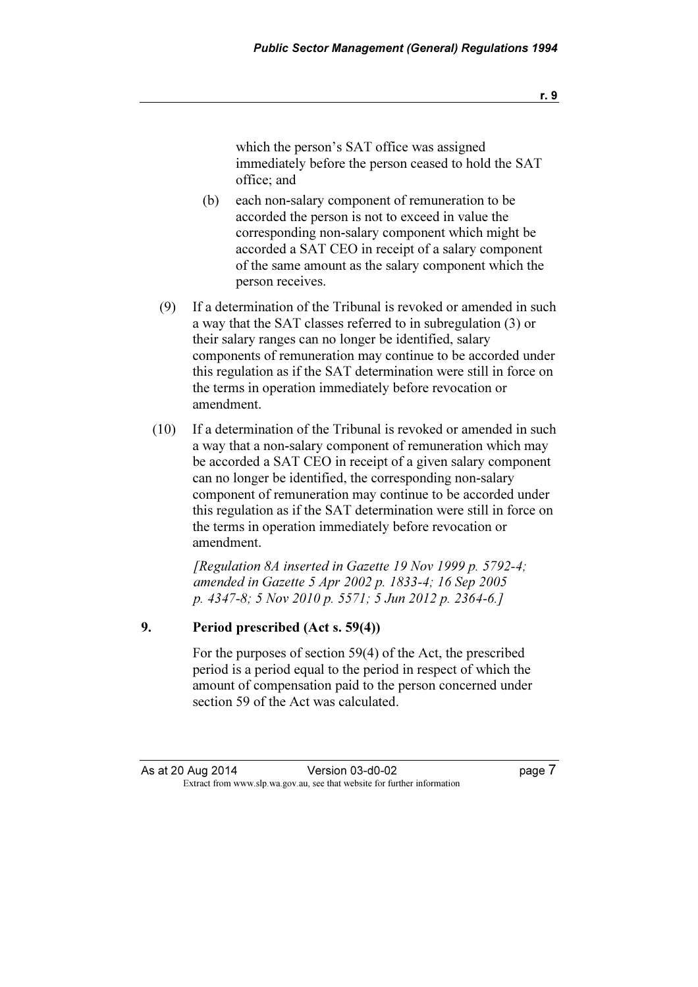which the person's SAT office was assigned immediately before the person ceased to hold the SAT office; and

- (b) each non-salary component of remuneration to be accorded the person is not to exceed in value the corresponding non-salary component which might be accorded a SAT CEO in receipt of a salary component of the same amount as the salary component which the person receives.
- (9) If a determination of the Tribunal is revoked or amended in such a way that the SAT classes referred to in subregulation (3) or their salary ranges can no longer be identified, salary components of remuneration may continue to be accorded under this regulation as if the SAT determination were still in force on the terms in operation immediately before revocation or amendment.
- (10) If a determination of the Tribunal is revoked or amended in such a way that a non-salary component of remuneration which may be accorded a SAT CEO in receipt of a given salary component can no longer be identified, the corresponding non-salary component of remuneration may continue to be accorded under this regulation as if the SAT determination were still in force on the terms in operation immediately before revocation or amendment.

 [Regulation 8A inserted in Gazette 19 Nov 1999 p. 5792-4; amended in Gazette 5 Apr 2002 p. 1833-4; 16 Sep 2005 p. 4347-8; 5 Nov 2010 p. 5571; 5 Jun 2012 p. 2364-6.]

#### 9. Period prescribed (Act s. 59(4))

 For the purposes of section 59(4) of the Act, the prescribed period is a period equal to the period in respect of which the amount of compensation paid to the person concerned under section 59 of the Act was calculated.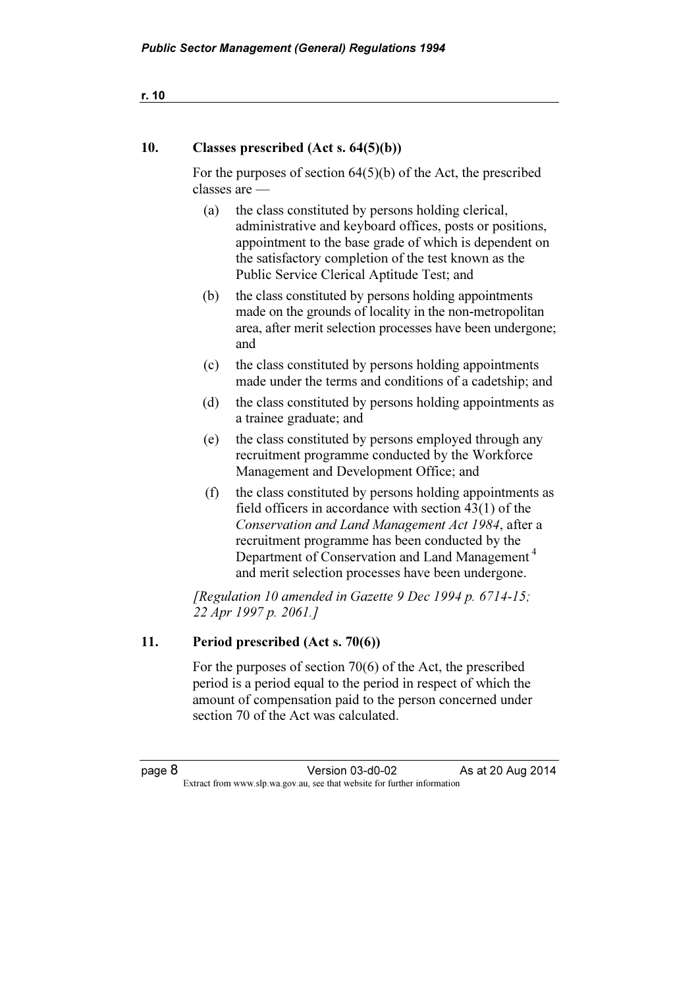#### 10. Classes prescribed (Act s. 64(5)(b))

 For the purposes of section 64(5)(b) of the Act, the prescribed classes are —

- (a) the class constituted by persons holding clerical, administrative and keyboard offices, posts or positions, appointment to the base grade of which is dependent on the satisfactory completion of the test known as the Public Service Clerical Aptitude Test; and
- (b) the class constituted by persons holding appointments made on the grounds of locality in the non-metropolitan area, after merit selection processes have been undergone; and
- (c) the class constituted by persons holding appointments made under the terms and conditions of a cadetship; and
- (d) the class constituted by persons holding appointments as a trainee graduate; and
- (e) the class constituted by persons employed through any recruitment programme conducted by the Workforce Management and Development Office; and
- (f) the class constituted by persons holding appointments as field officers in accordance with section 43(1) of the Conservation and Land Management Act 1984, after a recruitment programme has been conducted by the Department of Conservation and Land Management<sup>4</sup> and merit selection processes have been undergone.

[Regulation 10 amended in Gazette 9 Dec 1994 p.  $6714-15$ ; 22 Apr 1997 p. 2061.]

#### 11. Period prescribed (Act s. 70(6))

 For the purposes of section 70(6) of the Act, the prescribed period is a period equal to the period in respect of which the amount of compensation paid to the person concerned under section 70 of the Act was calculated.

```
r. 10
```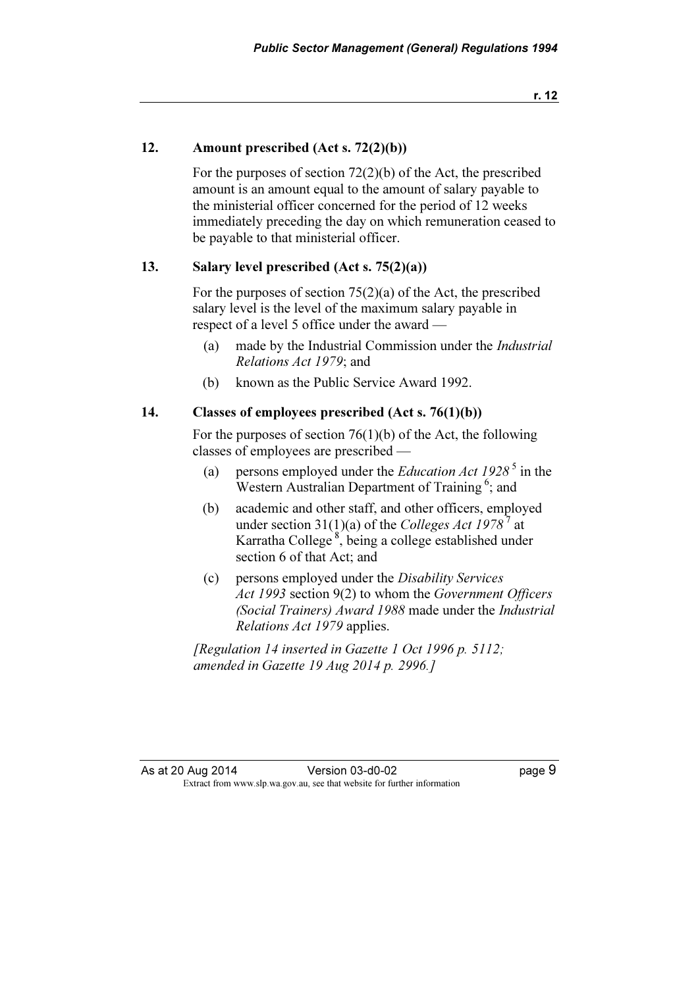r. 12

#### 12. Amount prescribed (Act s. 72(2)(b))

 For the purposes of section 72(2)(b) of the Act, the prescribed amount is an amount equal to the amount of salary payable to the ministerial officer concerned for the period of 12 weeks immediately preceding the day on which remuneration ceased to be payable to that ministerial officer.

#### 13. Salary level prescribed (Act s. 75(2)(a))

 For the purposes of section 75(2)(a) of the Act, the prescribed salary level is the level of the maximum salary payable in respect of a level 5 office under the award —

- (a) made by the Industrial Commission under the Industrial Relations Act 1979; and
- (b) known as the Public Service Award 1992.

#### 14. Classes of employees prescribed (Act s. 76(1)(b))

 For the purposes of section 76(1)(b) of the Act, the following classes of employees are prescribed —

- (a) persons employed under the *Education Act 1928*<sup>5</sup> in the Western Australian Department of Training<sup>6</sup>; and
- (b) academic and other staff, and other officers, employed under section 31(1)(a) of the Colleges Act 1978<sup>7</sup> at Karratha College<sup>8</sup>, being a college established under section 6 of that Act; and
- (c) persons employed under the Disability Services Act 1993 section 9(2) to whom the Government Officers (Social Trainers) Award 1988 made under the Industrial Relations Act 1979 applies.

 [Regulation 14 inserted in Gazette 1 Oct 1996 p. 5112; amended in Gazette 19 Aug 2014 p. 2996.]

As at 20 Aug 2014 Version 03-d0-02 Page 9  $\mathbf{F}$  from which we be the website for further information for further information  $\mathbf{F}$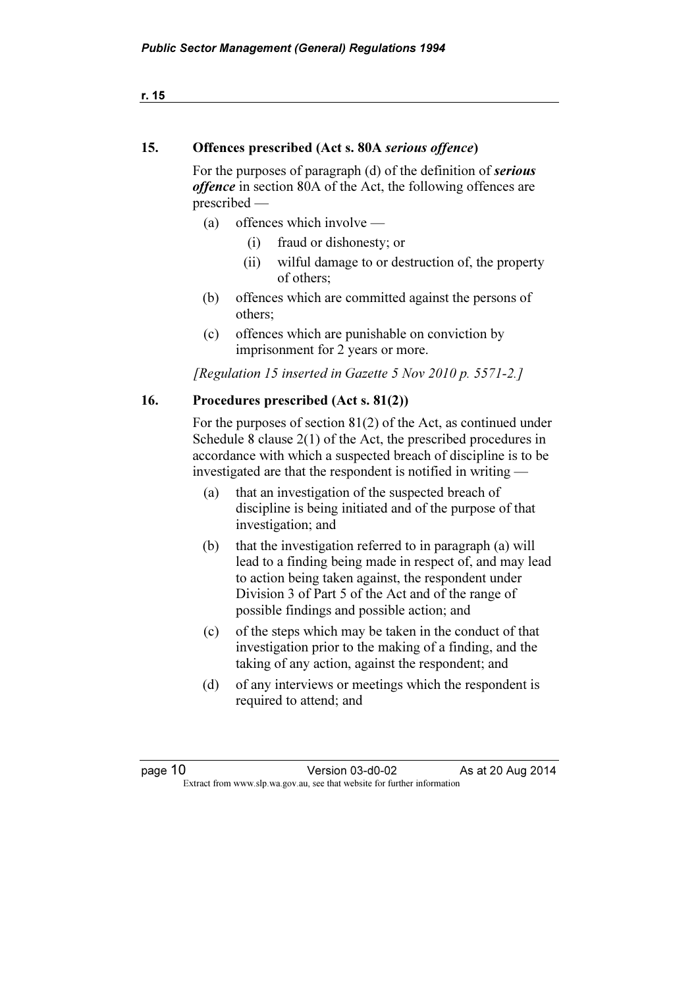| r. 15 |                                                  |                                                                                                                                                                                                                                                                             |  |
|-------|--------------------------------------------------|-----------------------------------------------------------------------------------------------------------------------------------------------------------------------------------------------------------------------------------------------------------------------------|--|
| 15.   | Offences prescribed (Act s. 80A serious offence) |                                                                                                                                                                                                                                                                             |  |
|       |                                                  | For the purposes of paragraph (d) of the definition of serious<br><i>offence</i> in section 80A of the Act, the following offences are<br>prescribed                                                                                                                        |  |
|       | (a)                                              | offences which involve —                                                                                                                                                                                                                                                    |  |
|       |                                                  | fraud or dishonesty; or<br>(i)                                                                                                                                                                                                                                              |  |
|       |                                                  | wilful damage to or destruction of, the property<br>(ii)<br>of others;                                                                                                                                                                                                      |  |
|       | (b)                                              | offences which are committed against the persons of<br>others:                                                                                                                                                                                                              |  |
|       | (c)                                              | offences which are punishable on conviction by<br>imprisonment for 2 years or more.                                                                                                                                                                                         |  |
|       |                                                  | [Regulation 15 inserted in Gazette 5 Nov 2010 p. 5571-2.]                                                                                                                                                                                                                   |  |
| 16.   |                                                  | Procedures prescribed (Act s. 81(2))                                                                                                                                                                                                                                        |  |
|       |                                                  | For the purposes of section $81(2)$ of the Act, as continued under<br>Schedule 8 clause $2(1)$ of the Act, the prescribed procedures in<br>accordance with which a suspected breach of discipline is to be<br>investigated are that the respondent is notified in writing — |  |
|       | (a)                                              | that an investigation of the suspected breach of<br>discipling is being initiated and of the nurnose of that                                                                                                                                                                |  |

- discipline is being initiated and of the purpose of that investigation; and (b) that the investigation referred to in paragraph (a) will
- lead to a finding being made in respect of, and may lead to action being taken against, the respondent under Division 3 of Part 5 of the Act and of the range of possible findings and possible action; and
- (c) of the steps which may be taken in the conduct of that investigation prior to the making of a finding, and the taking of any action, against the respondent; and
- (d) of any interviews or meetings which the respondent is required to attend; and

| page |  |
|------|--|
|      |  |

Version 03-d0-02 As at 20 Aug 2014 Extract from www.slp.wa.gov.au, see that website for further information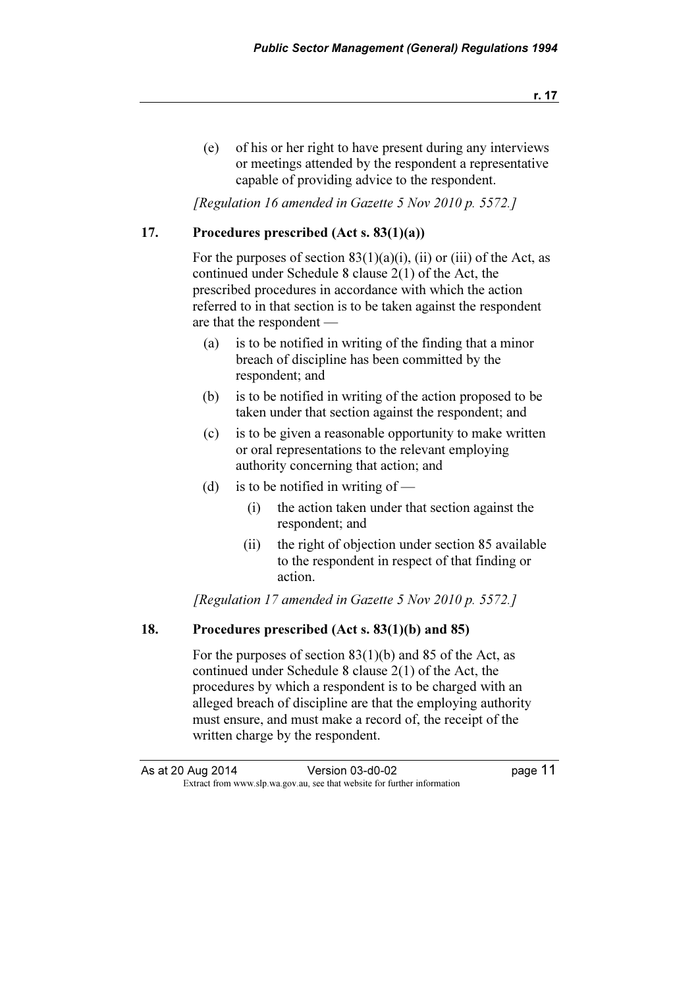(e) of his or her right to have present during any interviews or meetings attended by the respondent a representative capable of providing advice to the respondent.

[Regulation 16 amended in Gazette 5 Nov 2010 p. 5572.]

#### 17. Procedures prescribed (Act s. 83(1)(a))

For the purposes of section  $83(1)(a)(i)$ , (ii) or (iii) of the Act, as continued under Schedule 8 clause 2(1) of the Act, the prescribed procedures in accordance with which the action referred to in that section is to be taken against the respondent are that the respondent —

- (a) is to be notified in writing of the finding that a minor breach of discipline has been committed by the respondent; and
- (b) is to be notified in writing of the action proposed to be taken under that section against the respondent; and
- (c) is to be given a reasonable opportunity to make written or oral representations to the relevant employing authority concerning that action; and
- (d) is to be notified in writing of  $-$ 
	- (i) the action taken under that section against the respondent; and
	- (ii) the right of objection under section 85 available to the respondent in respect of that finding or action.

[Regulation 17 amended in Gazette 5 Nov 2010 p. 5572.]

#### 18. Procedures prescribed (Act s. 83(1)(b) and 85)

 For the purposes of section 83(1)(b) and 85 of the Act, as continued under Schedule 8 clause 2(1) of the Act, the procedures by which a respondent is to be charged with an alleged breach of discipline are that the employing authority must ensure, and must make a record of, the receipt of the written charge by the respondent.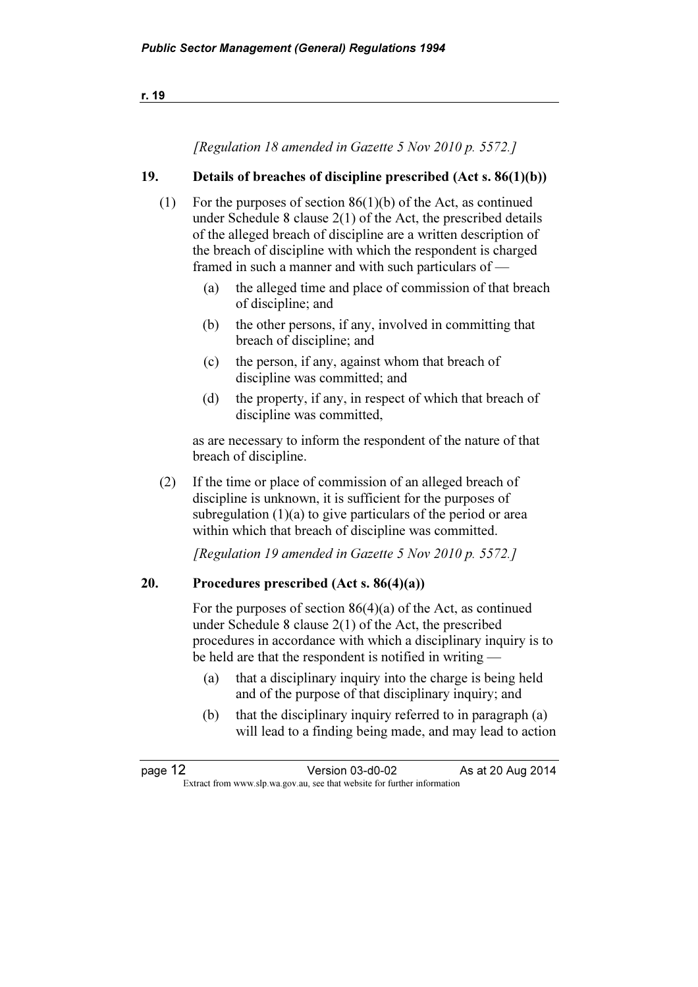|     | [Regulation 18 amended in Gazette 5 Nov 2010 p. 5572.]                                                                                                                                                                                                                    |
|-----|---------------------------------------------------------------------------------------------------------------------------------------------------------------------------------------------------------------------------------------------------------------------------|
| 19. | Details of breaches of discipline prescribed $(Act s. 86(1)(b))$                                                                                                                                                                                                          |
| (1) | For the purposes of section $86(1)(b)$ of the Act, as continued<br>under Schedule 8 clause $2(1)$ of the Act, the prescribed details<br>of the alleged breach of discipline are a written description of<br>the breach of discipline with which the respondent is charged |

- (a) the alleged time and place of commission of that breach of discipline; and
- (b) the other persons, if any, involved in committing that breach of discipline; and
- (c) the person, if any, against whom that breach of discipline was committed; and

framed in such a manner and with such particulars of —

 (d) the property, if any, in respect of which that breach of discipline was committed,

 as are necessary to inform the respondent of the nature of that breach of discipline.

 (2) If the time or place of commission of an alleged breach of discipline is unknown, it is sufficient for the purposes of subregulation  $(1)(a)$  to give particulars of the period or area within which that breach of discipline was committed.

[Regulation 19 amended in Gazette 5 Nov 2010 p. 5572.]

#### 20. Procedures prescribed  $(Act s. 86(4)(a))$

 For the purposes of section 86(4)(a) of the Act, as continued under Schedule 8 clause 2(1) of the Act, the prescribed procedures in accordance with which a disciplinary inquiry is to be held are that the respondent is notified in writing —

- (a) that a disciplinary inquiry into the charge is being held and of the purpose of that disciplinary inquiry; and
- (b) that the disciplinary inquiry referred to in paragraph (a) will lead to a finding being made, and may lead to action

| page 12 | Version 03-d0-02                                                         | As at 20 Aug 2014 |
|---------|--------------------------------------------------------------------------|-------------------|
|         | Extract from www.slp.wa.gov.au, see that website for further information |                   |

r. 19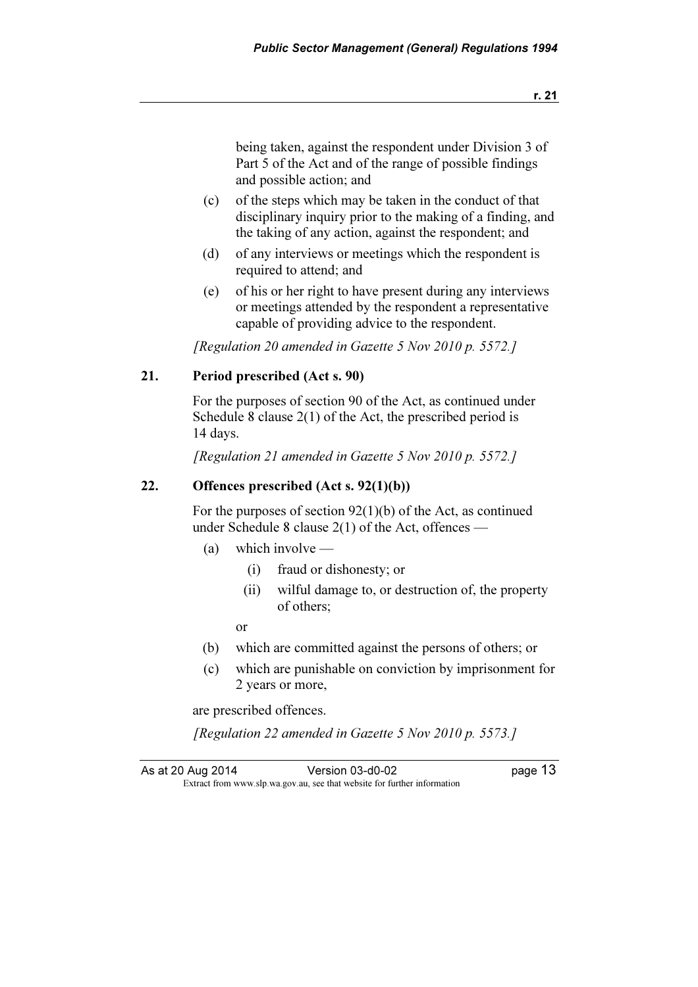being taken, against the respondent under Division 3 of Part 5 of the Act and of the range of possible findings and possible action; and

- (c) of the steps which may be taken in the conduct of that disciplinary inquiry prior to the making of a finding, and the taking of any action, against the respondent; and
- (d) of any interviews or meetings which the respondent is required to attend; and
- (e) of his or her right to have present during any interviews or meetings attended by the respondent a representative capable of providing advice to the respondent.

[Regulation 20 amended in Gazette 5 Nov 2010 p. 5572.]

#### 21. Period prescribed (Act s. 90)

 For the purposes of section 90 of the Act, as continued under Schedule 8 clause 2(1) of the Act, the prescribed period is 14 days.

[Regulation 21 amended in Gazette 5 Nov 2010 p. 5572.]

#### 22. Offences prescribed  $(Act s. 92(1)(b))$

 For the purposes of section 92(1)(b) of the Act, as continued under Schedule 8 clause  $2(1)$  of the Act, offences —

- (a) which involve
	- (i) fraud or dishonesty; or
	- (ii) wilful damage to, or destruction of, the property of others;

or

- (b) which are committed against the persons of others; or
- (c) which are punishable on conviction by imprisonment for 2 years or more,

are prescribed offences.

[Regulation 22 amended in Gazette 5 Nov 2010 p. 5573.]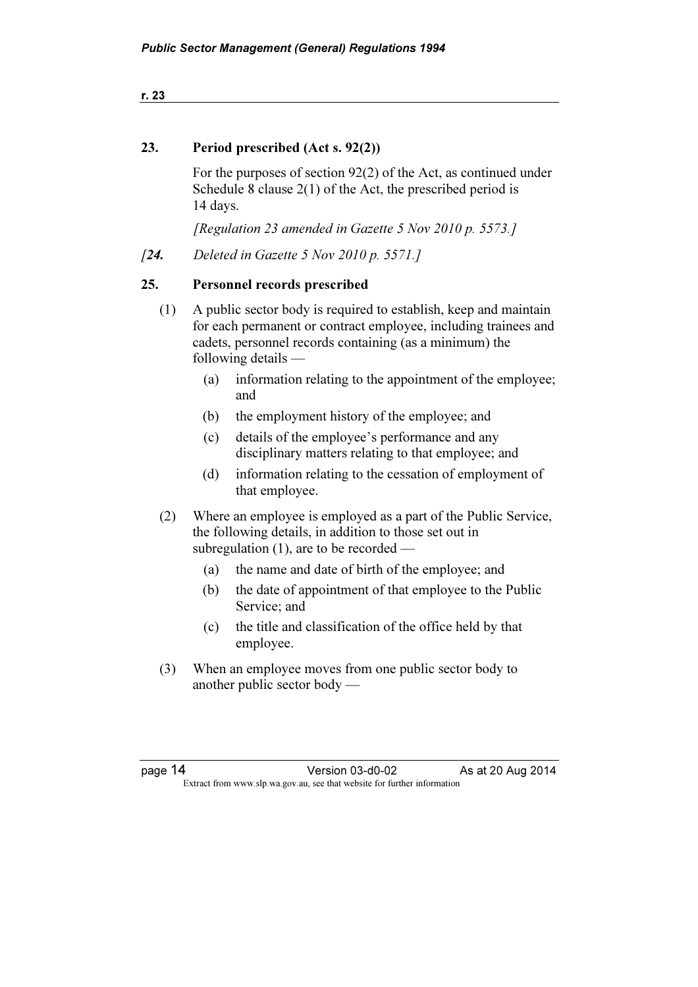r. 23

#### 23. Period prescribed (Act s. 92(2))

 For the purposes of section 92(2) of the Act, as continued under Schedule 8 clause 2(1) of the Act, the prescribed period is 14 days.

[Regulation 23 amended in Gazette 5 Nov 2010 p. 5573.]

[24. Deleted in Gazette 5 Nov 2010 p. 5571.]

#### 25. Personnel records prescribed

- (1) A public sector body is required to establish, keep and maintain for each permanent or contract employee, including trainees and cadets, personnel records containing (as a minimum) the following details —
	- (a) information relating to the appointment of the employee; and
	- (b) the employment history of the employee; and
	- (c) details of the employee's performance and any disciplinary matters relating to that employee; and
	- (d) information relating to the cessation of employment of that employee.
- (2) Where an employee is employed as a part of the Public Service, the following details, in addition to those set out in subregulation (1), are to be recorded —
	- (a) the name and date of birth of the employee; and
	- (b) the date of appointment of that employee to the Public Service; and
	- (c) the title and classification of the office held by that employee.
- (3) When an employee moves from one public sector body to another public sector body —

page 14 Version 03-d0-02 As at 20 Aug 2014<br>Extract from www.slp.wa.gov.au, see that website for further information  $\mathbf{F}$  from which we be the website for further information for further information  $\mathbf{F}$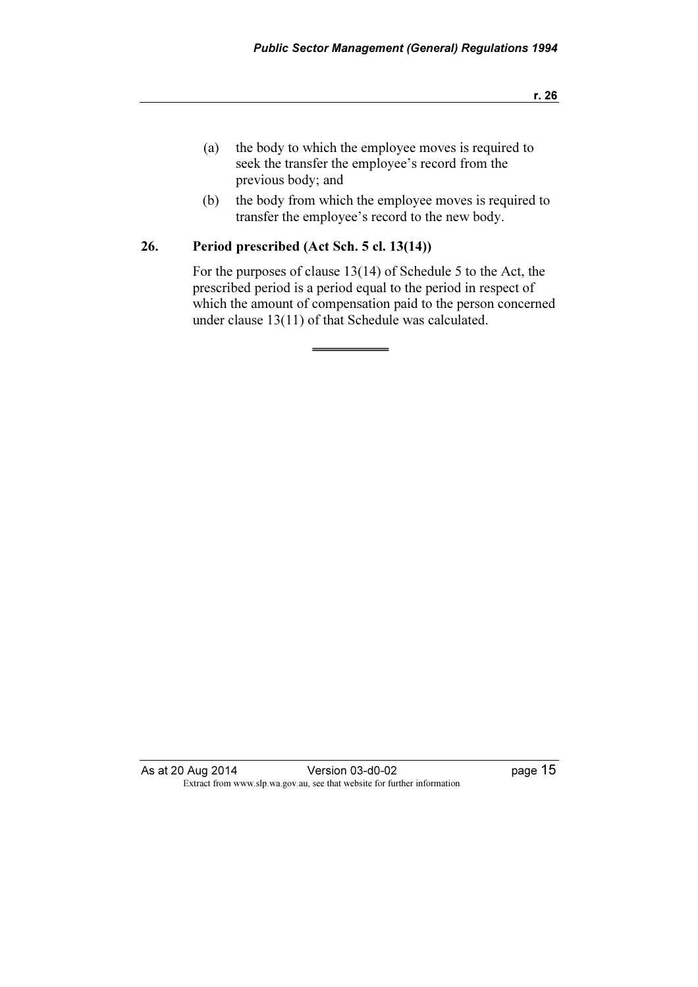- (a) the body to which the employee moves is required to seek the transfer the employee's record from the previous body; and
- (b) the body from which the employee moves is required to transfer the employee's record to the new body.

#### 26. Period prescribed (Act Sch. 5 cl. 13(14))

 For the purposes of clause 13(14) of Schedule 5 to the Act, the prescribed period is a period equal to the period in respect of which the amount of compensation paid to the person concerned under clause 13(11) of that Schedule was calculated.

As at 20 Aug 2014 <br>
Version 03-d0-02 <br>
Page 15 Extract from www.slp.wa.gov.au, see that website for further information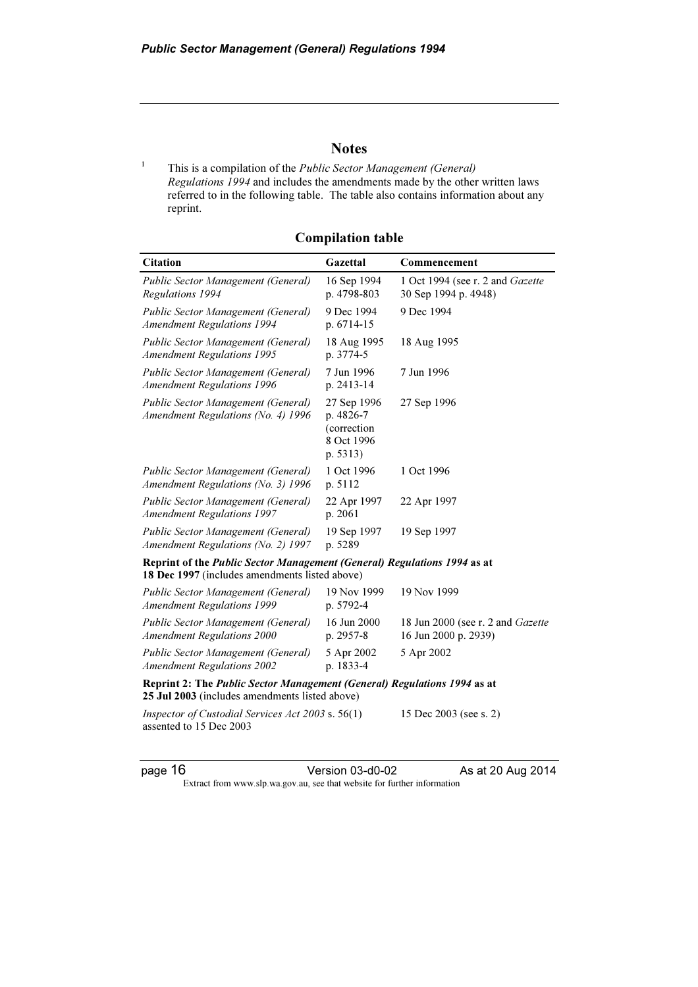#### **Notes**

 This is a compilation of the Public Sector Management (General) Regulations 1994 and includes the amendments made by the other written laws referred to in the following table. The table also contains information about any reprint.

| <b>Citation</b>                                                                                                            | Gazettal                                                          | Commencement                                                     |
|----------------------------------------------------------------------------------------------------------------------------|-------------------------------------------------------------------|------------------------------------------------------------------|
| Public Sector Management (General)<br>Regulations 1994                                                                     | 16 Sep 1994<br>p. 4798-803                                        | 1 Oct 1994 (see r. 2 and Gazette<br>30 Sep 1994 p. 4948)         |
| Public Sector Management (General)<br><b>Amendment Regulations 1994</b>                                                    | 9 Dec 1994<br>p. 6714-15                                          | 9 Dec 1994                                                       |
| Public Sector Management (General)<br><b>Amendment Regulations 1995</b>                                                    | 18 Aug 1995<br>p. 3774-5                                          | 18 Aug 1995                                                      |
| Public Sector Management (General)<br><b>Amendment Regulations 1996</b>                                                    | 7 Jun 1996<br>p. 2413-14                                          | 7 Jun 1996                                                       |
| Public Sector Management (General)<br>Amendment Regulations (No. 4) 1996                                                   | 27 Sep 1996<br>p. 4826-7<br>(correction<br>8 Oct 1996<br>p. 5313) | 27 Sep 1996                                                      |
| Public Sector Management (General)<br>Amendment Regulations (No. 3) 1996                                                   | 1 Oct 1996<br>p. 5112                                             | 1 Oct 1996                                                       |
| Public Sector Management (General)<br><b>Amendment Regulations 1997</b>                                                    | 22 Apr 1997<br>p. 2061                                            | 22 Apr 1997                                                      |
| Public Sector Management (General)<br>Amendment Regulations (No. 2) 1997                                                   | 19 Sep 1997<br>p. 5289                                            | 19 Sep 1997                                                      |
| Reprint of the Public Sector Management (General) Regulations 1994 as at<br>18 Dec 1997 (includes amendments listed above) |                                                                   |                                                                  |
| Public Sector Management (General)<br><b>Amendment Regulations 1999</b>                                                    | 19 Nov 1999<br>p. 5792-4                                          | 19 Nov 1999                                                      |
| Public Sector Management (General)<br><b>Amendment Regulations 2000</b>                                                    | 16 Jun 2000<br>p. 2957-8                                          | 18 Jun 2000 (see r. 2 and <i>Gazette</i><br>16 Jun 2000 p. 2939) |
| Public Sector Management (General)<br><b>Amendment Regulations 2002</b>                                                    | 5 Apr 2002<br>p. 1833-4                                           | 5 Apr 2002                                                       |
| Reprint 2: The Public Sector Management (General) Regulations 1994 as at<br>25 Jul 2003 (includes amendments listed above) |                                                                   |                                                                  |
| Inspector of Custodial Services Act 2003 s. 56(1)<br>assented to 15 Dec 2003                                               |                                                                   | 15 Dec 2003 (see s. 2)                                           |

Compilation table

1

page 16 **Version 03-d0-02** As at 20 Aug 2014

Extract from www.slp.wa.gov.au, see that website for further information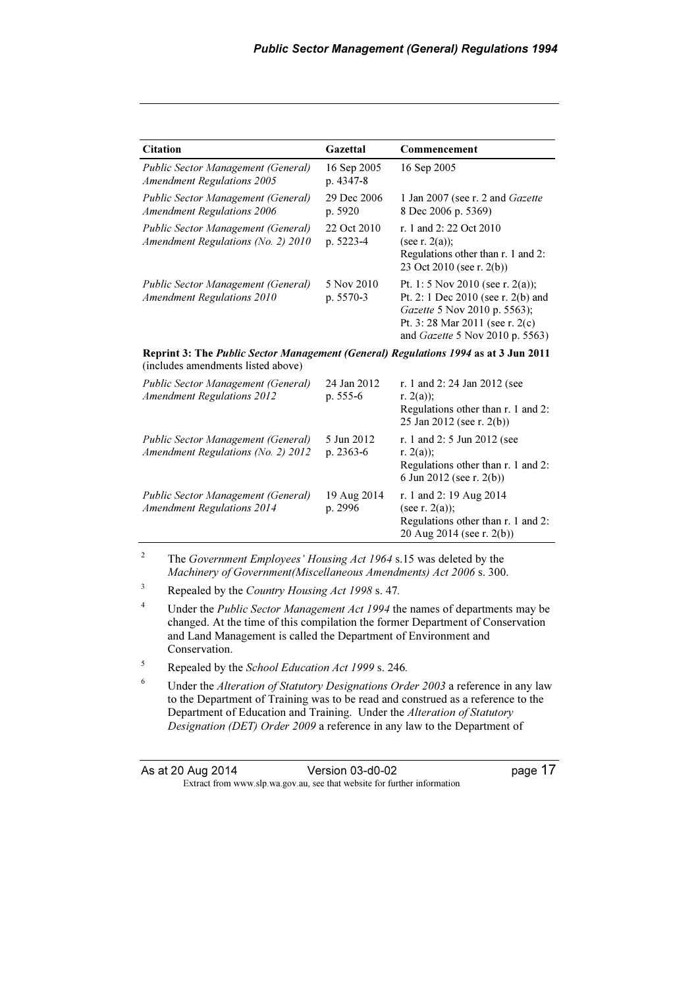| <b>Citation</b>                                                                                                                  | Gazettal                 | Commencement                                                                                                                                                                |  |  |
|----------------------------------------------------------------------------------------------------------------------------------|--------------------------|-----------------------------------------------------------------------------------------------------------------------------------------------------------------------------|--|--|
| Public Sector Management (General)<br><b>Amendment Regulations 2005</b>                                                          | 16 Sep 2005<br>p. 4347-8 | 16 Sep 2005                                                                                                                                                                 |  |  |
| Public Sector Management (General)<br><b>Amendment Regulations 2006</b>                                                          | 29 Dec 2006<br>p. 5920   | 1 Jan 2007 (see r. 2 and Gazette<br>8 Dec 2006 p. 5369)                                                                                                                     |  |  |
| Public Sector Management (General)<br>Amendment Regulations (No. 2) 2010                                                         | 22 Oct 2010<br>p. 5223-4 | r. 1 and 2: 22 Oct 2010<br>(see r. $2(a)$ );<br>Regulations other than r. 1 and 2:<br>23 Oct 2010 (see r. 2(b))                                                             |  |  |
| Public Sector Management (General)<br><b>Amendment Regulations 2010</b>                                                          | 5 Nov 2010<br>p. 5570-3  | Pt. 1: 5 Nov 2010 (see r. 2(a));<br>Pt. 2: 1 Dec 2010 (see r. 2(b) and<br>Gazette 5 Nov 2010 p. 5563);<br>Pt. 3:28 Mar 2011 (see r. 2(c)<br>and Gazette 5 Nov 2010 p. 5563) |  |  |
| <b>Reprint 3: The Public Sector Management (General) Regulations 1994 as at 3 Jun 2011</b><br>(includes amendments listed above) |                          |                                                                                                                                                                             |  |  |
| Public Sector Management (General)<br><b>Amendment Regulations 2012</b>                                                          | 24 Jan 2012<br>p. 555-6  | r. 1 and 2:24 Jan 2012 (see<br>r. $2(a)$ ;<br>Regulations other than r. 1 and 2:<br>25 Jan 2012 (see r. 2(b))                                                               |  |  |
| Public Sector Management (General)<br>Amendment Regulations (No. 2) 2012                                                         | 5 Jun 2012<br>p. 2363-6  | r. 1 and 2: 5 Jun 2012 (see<br>r. $2(a)$ ;<br>Regulations other than r. 1 and 2:<br>6 Jun 2012 (see r. 2(b))                                                                |  |  |
| Public Sector Management (General)<br><b>Amendment Regulations 2014</b>                                                          | 19 Aug 2014<br>p. 2996   | r. 1 and 2: 19 Aug 2014<br>(see r. $2(a)$ );<br>Regulations other than r. 1 and 2:<br>20 Aug 2014 (see r. 2(b))                                                             |  |  |

<sup>2</sup> The *Government Employees' Housing Act 1964* s.15 was deleted by the Machinery of Government(Miscellaneous Amendments) Act 2006 s. 300.

 $3$  Repealed by the *Country Housing Act 1998* s. 47.

- <sup>4</sup> Under the *Public Sector Management Act 1994* the names of departments may be changed. At the time of this compilation the former Department of Conservation and Land Management is called the Department of Environment and Conservation.
- <sup>5</sup> Repealed by the *School Education Act 1999* s. 246.
- <sup>6</sup> Under the *Alteration of Statutory Designations Order 2003* a reference in any law to the Department of Training was to be read and construed as a reference to the Department of Education and Training. Under the Alteration of Statutory Designation (DET) Order 2009 a reference in any law to the Department of

| As at 20 Aug 2014 | Version 03-d0-02                                                         | page 17 |
|-------------------|--------------------------------------------------------------------------|---------|
|                   | Extract from www.slp.wa.gov.au, see that website for further information |         |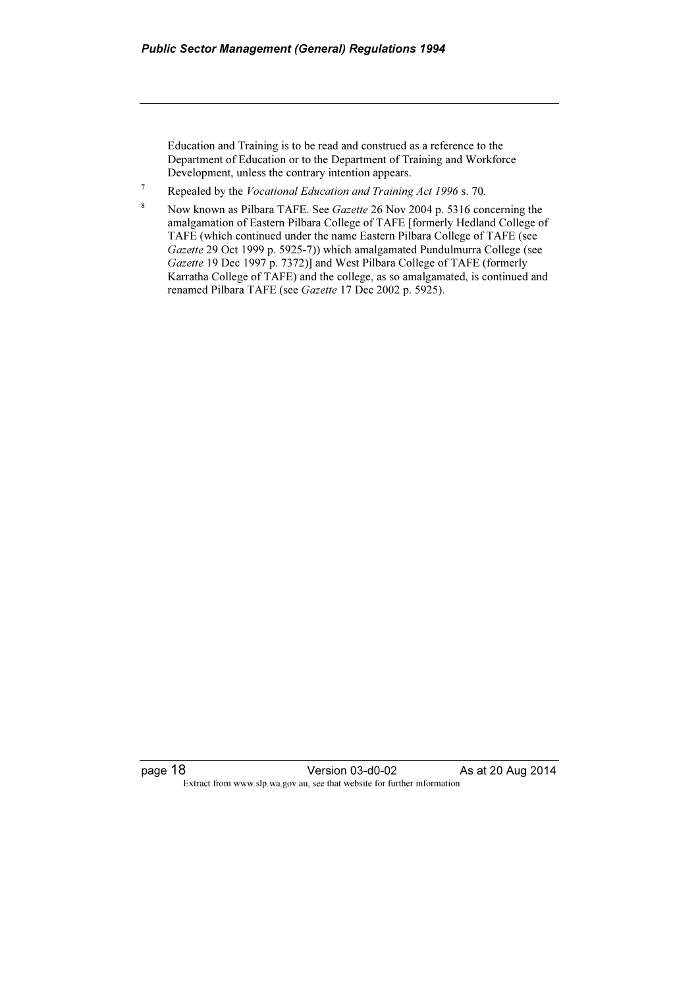Education and Training is to be read and construed as a reference to the Department of Education or to the Department of Training and Workforce Development, unless the contrary intention appears.

<sup>7</sup> Repealed by the *Vocational Education and Training Act 1996* s. 70.

<sup>8</sup> Now known as Pilbara TAFE. See *Gazette* 26 Nov 2004 p. 5316 concerning the amalgamation of Eastern Pilbara College of TAFE [formerly Hedland College of TAFE (which continued under the name Eastern Pilbara College of TAFE (see Gazette 29 Oct 1999 p. 5925-7)) which amalgamated Pundulmurra College (see Gazette 19 Dec 1997 p. 7372)] and West Pilbara College of TAFE (formerly Karratha College of TAFE) and the college, as so amalgamated, is continued and renamed Pilbara TAFE (see Gazette 17 Dec 2002 p. 5925).

page 18 **Version 03-d0-02** As at 20 Aug 2014 Extract from www.slp.wa.gov.au, see that website for further information